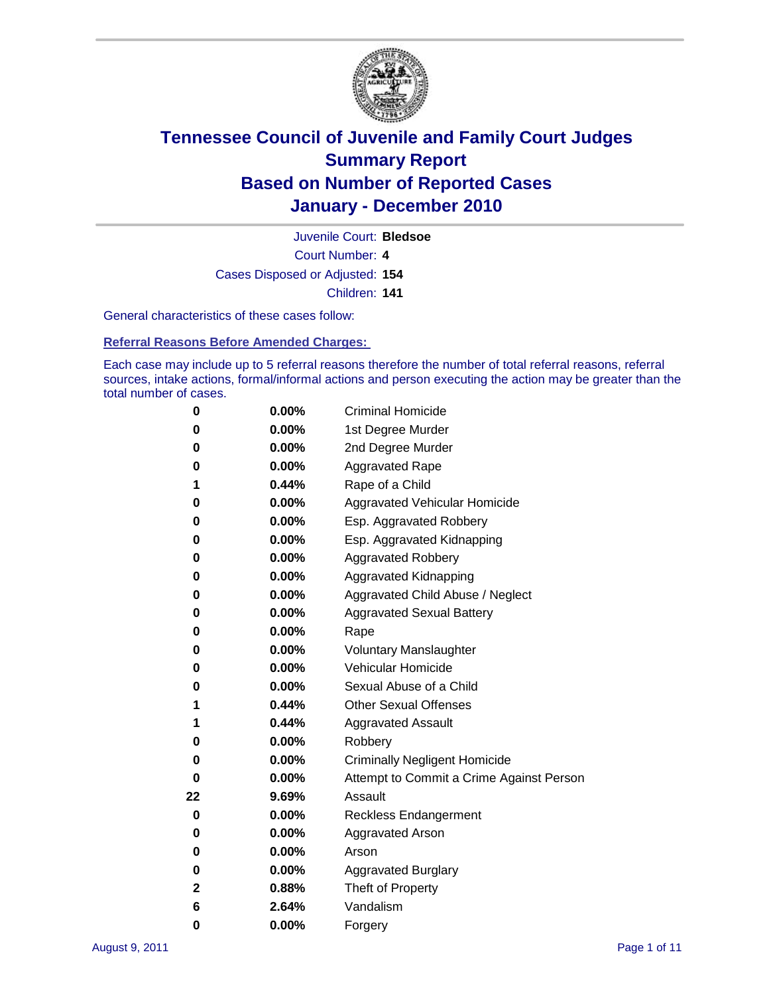

Court Number: **4** Juvenile Court: **Bledsoe** Cases Disposed or Adjusted: **154** Children: **141**

General characteristics of these cases follow:

**Referral Reasons Before Amended Charges:** 

Each case may include up to 5 referral reasons therefore the number of total referral reasons, referral sources, intake actions, formal/informal actions and person executing the action may be greater than the total number of cases.

| 0  | 0.00% | <b>Criminal Homicide</b>                 |
|----|-------|------------------------------------------|
| 0  | 0.00% | 1st Degree Murder                        |
| 0  | 0.00% | 2nd Degree Murder                        |
| 0  | 0.00% | <b>Aggravated Rape</b>                   |
| 1  | 0.44% | Rape of a Child                          |
| 0  | 0.00% | Aggravated Vehicular Homicide            |
| 0  | 0.00% | Esp. Aggravated Robbery                  |
| 0  | 0.00% | Esp. Aggravated Kidnapping               |
| 0  | 0.00% | <b>Aggravated Robbery</b>                |
| 0  | 0.00% | Aggravated Kidnapping                    |
| 0  | 0.00% | Aggravated Child Abuse / Neglect         |
| 0  | 0.00% | <b>Aggravated Sexual Battery</b>         |
| 0  | 0.00% | Rape                                     |
| 0  | 0.00% | <b>Voluntary Manslaughter</b>            |
| 0  | 0.00% | Vehicular Homicide                       |
| 0  | 0.00% | Sexual Abuse of a Child                  |
| 1  | 0.44% | <b>Other Sexual Offenses</b>             |
| 1  | 0.44% | <b>Aggravated Assault</b>                |
| 0  | 0.00% | Robbery                                  |
| 0  | 0.00% | <b>Criminally Negligent Homicide</b>     |
| 0  | 0.00% | Attempt to Commit a Crime Against Person |
| 22 | 9.69% | Assault                                  |
| 0  | 0.00% | <b>Reckless Endangerment</b>             |
| 0  | 0.00% | <b>Aggravated Arson</b>                  |
| 0  | 0.00% | Arson                                    |
| 0  | 0.00% | <b>Aggravated Burglary</b>               |
| 2  | 0.88% | Theft of Property                        |
| 6  | 2.64% | Vandalism                                |
| 0  | 0.00% | Forgery                                  |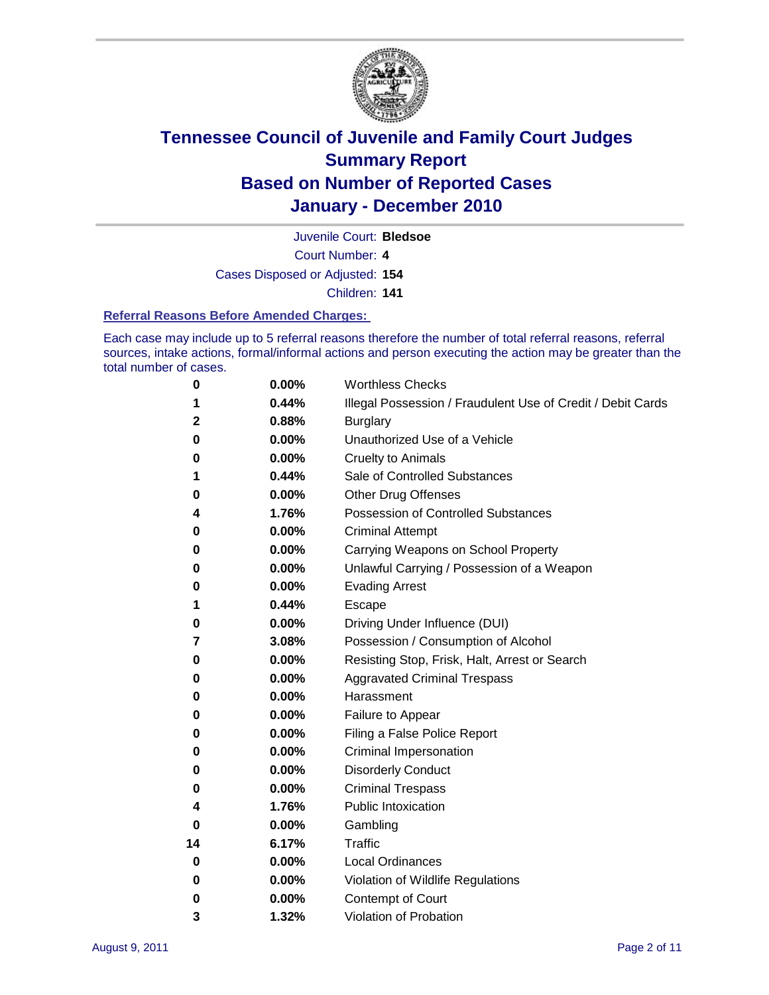

Juvenile Court: **Bledsoe**

Court Number: **4**

Cases Disposed or Adjusted: **154**

Children: **141**

#### **Referral Reasons Before Amended Charges:**

Each case may include up to 5 referral reasons therefore the number of total referral reasons, referral sources, intake actions, formal/informal actions and person executing the action may be greater than the total number of cases.

| 0  | 0.00% | <b>Worthless Checks</b>                                     |
|----|-------|-------------------------------------------------------------|
| 1  | 0.44% | Illegal Possession / Fraudulent Use of Credit / Debit Cards |
| 2  | 0.88% | <b>Burglary</b>                                             |
| 0  | 0.00% | Unauthorized Use of a Vehicle                               |
| 0  | 0.00% | <b>Cruelty to Animals</b>                                   |
| 1  | 0.44% | Sale of Controlled Substances                               |
| 0  | 0.00% | <b>Other Drug Offenses</b>                                  |
| 4  | 1.76% | <b>Possession of Controlled Substances</b>                  |
| 0  | 0.00% | <b>Criminal Attempt</b>                                     |
| 0  | 0.00% | Carrying Weapons on School Property                         |
| 0  | 0.00% | Unlawful Carrying / Possession of a Weapon                  |
| 0  | 0.00% | <b>Evading Arrest</b>                                       |
| 1  | 0.44% | Escape                                                      |
| 0  | 0.00% | Driving Under Influence (DUI)                               |
| 7  | 3.08% | Possession / Consumption of Alcohol                         |
| 0  | 0.00% | Resisting Stop, Frisk, Halt, Arrest or Search               |
| 0  | 0.00% | <b>Aggravated Criminal Trespass</b>                         |
| 0  | 0.00% | Harassment                                                  |
| 0  | 0.00% | Failure to Appear                                           |
| 0  | 0.00% | Filing a False Police Report                                |
| 0  | 0.00% | Criminal Impersonation                                      |
| 0  | 0.00% | <b>Disorderly Conduct</b>                                   |
| 0  | 0.00% | <b>Criminal Trespass</b>                                    |
| 4  | 1.76% | <b>Public Intoxication</b>                                  |
| 0  | 0.00% | Gambling                                                    |
| 14 | 6.17% | <b>Traffic</b>                                              |
| 0  | 0.00% | <b>Local Ordinances</b>                                     |
| 0  | 0.00% | Violation of Wildlife Regulations                           |
| 0  | 0.00% | Contempt of Court                                           |
| 3  | 1.32% | Violation of Probation                                      |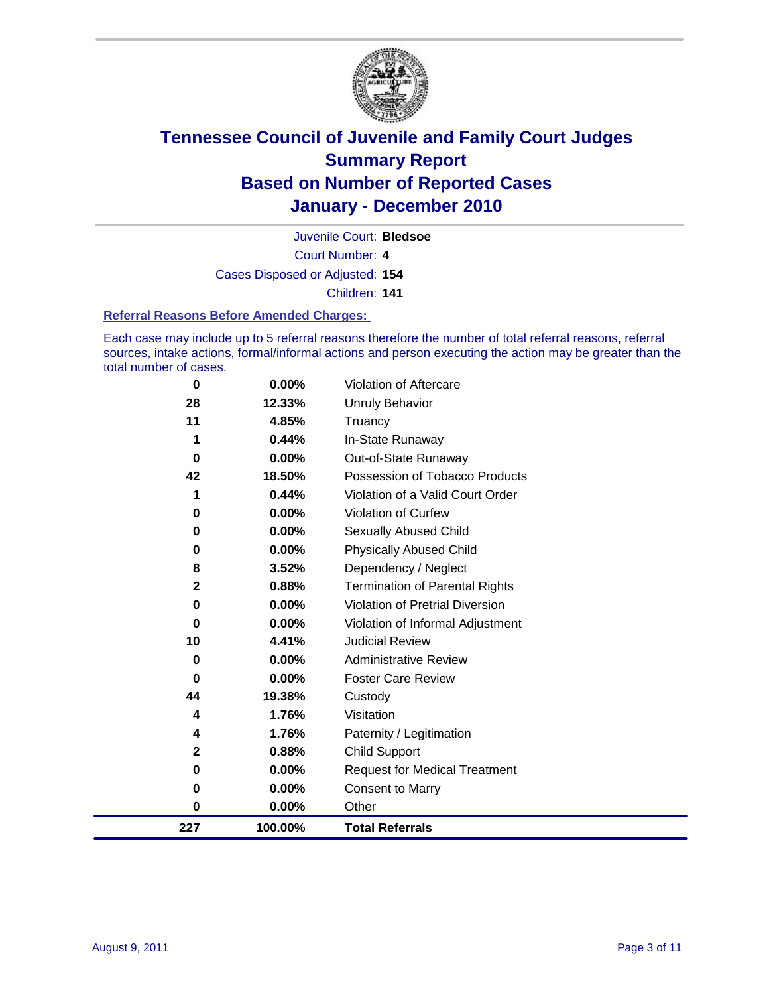

Juvenile Court: **Bledsoe**

Court Number: **4**

Cases Disposed or Adjusted: **154**

Children: **141**

#### **Referral Reasons Before Amended Charges:**

Each case may include up to 5 referral reasons therefore the number of total referral reasons, referral sources, intake actions, formal/informal actions and person executing the action may be greater than the total number of cases.

| 0            | 0.00%    | Violation of Aftercare                 |
|--------------|----------|----------------------------------------|
| 28           | 12.33%   | <b>Unruly Behavior</b>                 |
| 11           | 4.85%    | Truancy                                |
|              | 0.44%    | In-State Runaway                       |
| $\bf{0}$     | 0.00%    | Out-of-State Runaway                   |
| 42           | 18.50%   | Possession of Tobacco Products         |
|              | 0.44%    | Violation of a Valid Court Order       |
| 0            | 0.00%    | <b>Violation of Curfew</b>             |
| 0            | $0.00\%$ | <b>Sexually Abused Child</b>           |
| 0            | 0.00%    | <b>Physically Abused Child</b>         |
| 8            | 3.52%    | Dependency / Neglect                   |
| $\mathbf{2}$ | 0.88%    | <b>Termination of Parental Rights</b>  |
| 0            | 0.00%    | <b>Violation of Pretrial Diversion</b> |
| 0            | 0.00%    | Violation of Informal Adjustment       |
| 10           | 4.41%    | <b>Judicial Review</b>                 |
| 0            | $0.00\%$ | <b>Administrative Review</b>           |
| $\bf{0}$     | $0.00\%$ | <b>Foster Care Review</b>              |
| 44           | 19.38%   | Custody                                |
| 4            | 1.76%    | Visitation                             |
| 4            | 1.76%    | Paternity / Legitimation               |
| 2            | 0.88%    | <b>Child Support</b>                   |
| 0            | 0.00%    | <b>Request for Medical Treatment</b>   |
| 0            | 0.00%    | <b>Consent to Marry</b>                |
| 0            | 0.00%    | Other                                  |
| 227          | 100.00%  | <b>Total Referrals</b>                 |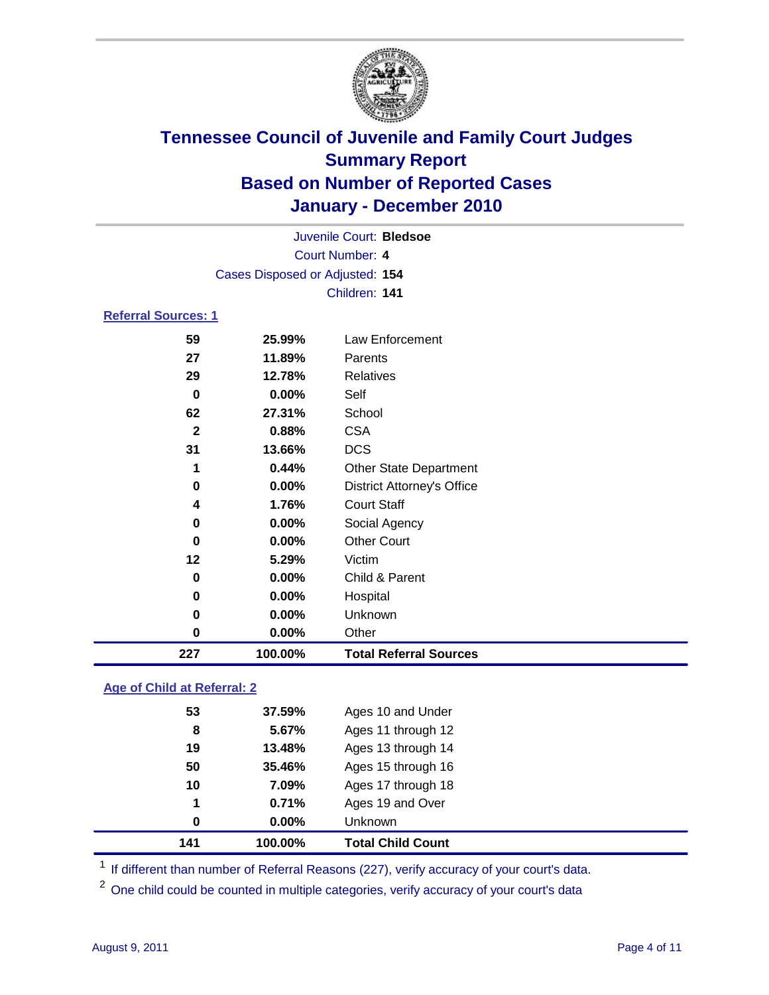

|                            |                                 | Juvenile Court: Bledsoe<br>Court Number: 4 |  |
|----------------------------|---------------------------------|--------------------------------------------|--|
|                            | Cases Disposed or Adjusted: 154 |                                            |  |
|                            |                                 | Children: 141                              |  |
|                            |                                 |                                            |  |
| <b>Referral Sources: 1</b> |                                 |                                            |  |
| 59                         | 25.99%                          | Law Enforcement                            |  |
| 27                         | 11.89%                          | Parents                                    |  |
| 29                         | 12.78%                          | Relatives                                  |  |
| 0                          | 0.00%                           | Self                                       |  |
| 62                         | 27.31%                          | School                                     |  |
| $\mathbf{2}$               | 0.88%                           | <b>CSA</b>                                 |  |
| 31                         | 13.66%                          | <b>DCS</b>                                 |  |
| 1                          | 0.44%                           | <b>Other State Department</b>              |  |
| 0                          | 0.00%                           | <b>District Attorney's Office</b>          |  |
| 4                          | 1.76%                           | <b>Court Staff</b>                         |  |
| 0                          | 0.00%                           | Social Agency                              |  |
| $\bf{0}$                   | 0.00%                           | <b>Other Court</b>                         |  |
| 12                         | 5.29%                           | Victim                                     |  |
| 0                          | 0.00%                           | Child & Parent                             |  |
| 0                          | 0.00%                           | Hospital                                   |  |
| $\bf{0}$                   | 0.00%                           | <b>Unknown</b>                             |  |
| $\mathbf 0$                | 0.00%                           | Other                                      |  |
| 227                        | 100.00%                         | <b>Total Referral Sources</b>              |  |

### **Age of Child at Referral: 2**

| 1<br>0 | 0.71%<br>0.00% | Ages 19 and Over<br><b>Unknown</b> |  |
|--------|----------------|------------------------------------|--|
|        |                |                                    |  |
|        |                |                                    |  |
| 10     | 7.09%          | Ages 17 through 18                 |  |
| 50     | 35.46%         | Ages 15 through 16                 |  |
| 19     | 13.48%         | Ages 13 through 14                 |  |
| 8      | 5.67%          | Ages 11 through 12                 |  |
| 53     | 37.59%         | Ages 10 and Under                  |  |
|        |                |                                    |  |

<sup>1</sup> If different than number of Referral Reasons (227), verify accuracy of your court's data.

<sup>2</sup> One child could be counted in multiple categories, verify accuracy of your court's data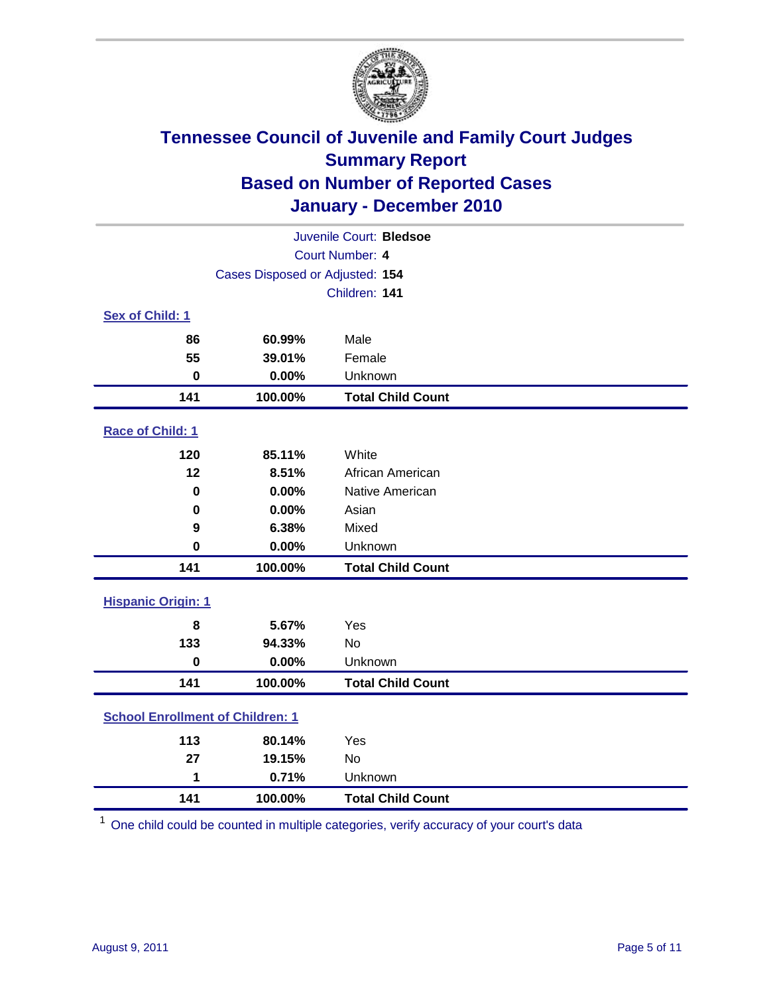

| Juvenile Court: Bledsoe                 |                                 |                          |  |
|-----------------------------------------|---------------------------------|--------------------------|--|
|                                         |                                 | Court Number: 4          |  |
|                                         | Cases Disposed or Adjusted: 154 |                          |  |
|                                         |                                 | Children: 141            |  |
| Sex of Child: 1                         |                                 |                          |  |
| 86                                      | 60.99%                          | Male                     |  |
| 55                                      | 39.01%                          | Female                   |  |
| $\mathbf 0$                             | 0.00%                           | Unknown                  |  |
| 141                                     | 100.00%                         | <b>Total Child Count</b> |  |
| Race of Child: 1                        |                                 |                          |  |
| 120                                     | 85.11%                          | White                    |  |
| 12                                      | 8.51%                           | African American         |  |
| $\mathbf 0$                             | 0.00%                           | Native American          |  |
| $\mathbf 0$                             | 0.00%                           | Asian                    |  |
| 9                                       | 6.38%                           | Mixed                    |  |
| $\mathbf 0$                             | 0.00%                           | Unknown                  |  |
| 141                                     | 100.00%                         | <b>Total Child Count</b> |  |
| <b>Hispanic Origin: 1</b>               |                                 |                          |  |
| 8                                       | 5.67%                           | Yes                      |  |
| 133                                     | 94.33%                          | No                       |  |
| $\mathbf 0$                             | 0.00%                           | Unknown                  |  |
| 141                                     | 100.00%                         | <b>Total Child Count</b> |  |
| <b>School Enrollment of Children: 1</b> |                                 |                          |  |
| 113                                     | 80.14%                          | Yes                      |  |
| 27                                      | 19.15%                          | No                       |  |
| 1                                       | 0.71%                           | Unknown                  |  |
| 141                                     | 100.00%                         | <b>Total Child Count</b> |  |

One child could be counted in multiple categories, verify accuracy of your court's data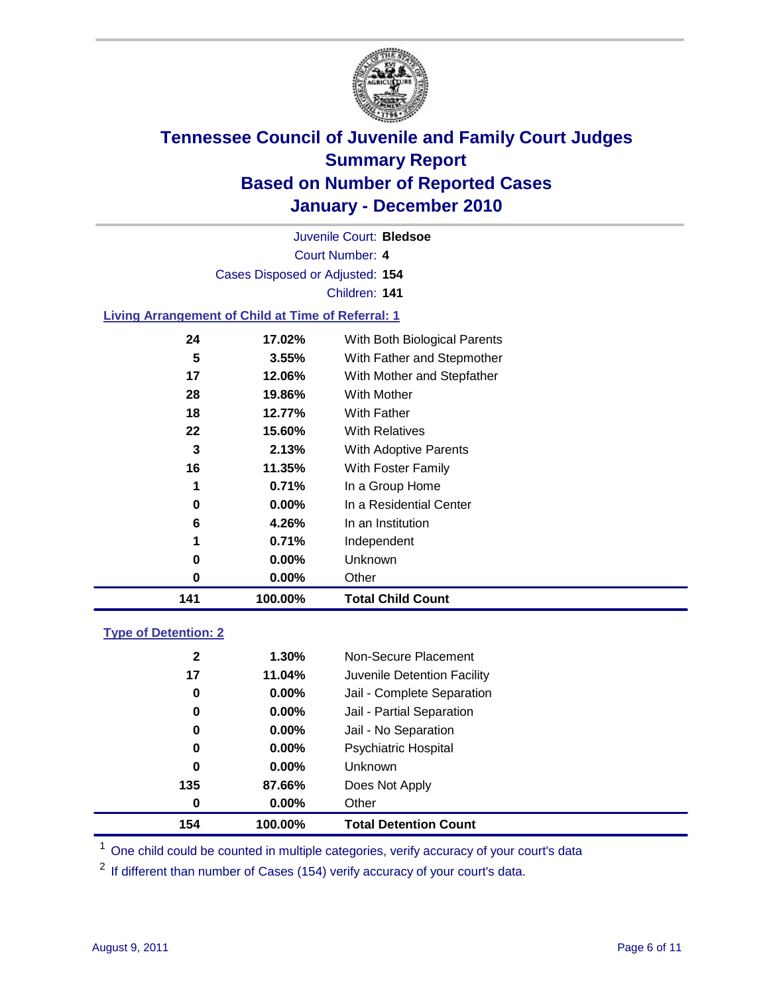

Court Number: **4** Juvenile Court: **Bledsoe** Cases Disposed or Adjusted: **154** Children: **141 Living Arrangement of Child at Time of Referral: 1**

| 141 | 100.00%  | <b>Total Child Count</b>     |
|-----|----------|------------------------------|
| 0   | $0.00\%$ | Other                        |
| 0   | $0.00\%$ | Unknown                      |
| 1   | 0.71%    | Independent                  |
| 6   | 4.26%    | In an Institution            |
| 0   | $0.00\%$ | In a Residential Center      |
| 1   | 0.71%    | In a Group Home              |
| 16  | 11.35%   | With Foster Family           |
| 3   | 2.13%    | With Adoptive Parents        |
| 22  | 15.60%   | <b>With Relatives</b>        |
| 18  | 12.77%   | With Father                  |
| 28  | 19.86%   | With Mother                  |
| 17  | 12.06%   | With Mother and Stepfather   |
| 5   | 3.55%    | With Father and Stepmother   |
| 24  | 17.02%   | With Both Biological Parents |

### **Type of Detention: 2**

| 154 | 100.00%  | <b>Total Detention Count</b> |  |
|-----|----------|------------------------------|--|
| 0   | $0.00\%$ | Other                        |  |
| 135 | 87.66%   | Does Not Apply               |  |
| 0   | $0.00\%$ | <b>Unknown</b>               |  |
| 0   | 0.00%    | <b>Psychiatric Hospital</b>  |  |
| 0   | 0.00%    | Jail - No Separation         |  |
| 0   | $0.00\%$ | Jail - Partial Separation    |  |
| 0   | $0.00\%$ | Jail - Complete Separation   |  |
| 17  | 11.04%   | Juvenile Detention Facility  |  |
| 2   | $1.30\%$ | Non-Secure Placement         |  |
|     |          |                              |  |

<sup>1</sup> One child could be counted in multiple categories, verify accuracy of your court's data

<sup>2</sup> If different than number of Cases (154) verify accuracy of your court's data.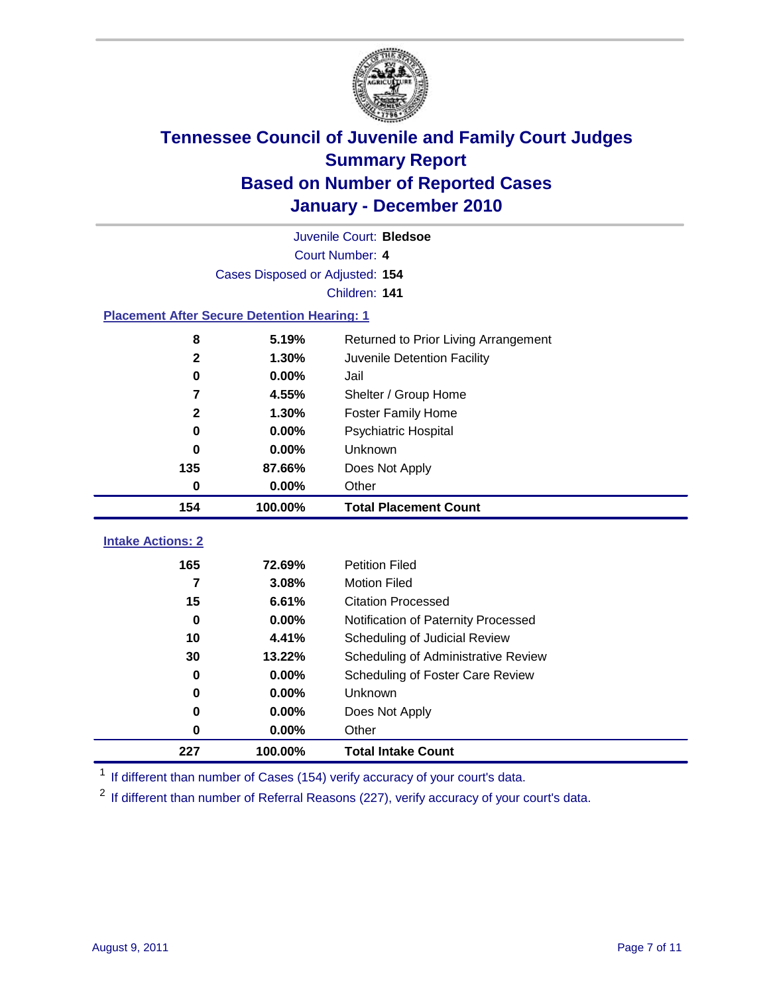

|                                                    | Juvenile Court: Bledsoe |                                                  |  |  |  |  |
|----------------------------------------------------|-------------------------|--------------------------------------------------|--|--|--|--|
|                                                    | Court Number: 4         |                                                  |  |  |  |  |
| Cases Disposed or Adjusted: 154                    |                         |                                                  |  |  |  |  |
| Children: 141                                      |                         |                                                  |  |  |  |  |
| <b>Placement After Secure Detention Hearing: 1</b> |                         |                                                  |  |  |  |  |
| 8                                                  | 5.19%                   | Returned to Prior Living Arrangement             |  |  |  |  |
| $\mathbf{2}$                                       | 1.30%                   | Juvenile Detention Facility                      |  |  |  |  |
| $\mathbf 0$                                        | 0.00%                   | Jail                                             |  |  |  |  |
| 7                                                  | 4.55%                   | Shelter / Group Home                             |  |  |  |  |
| $\mathbf 2$                                        | 1.30%                   | <b>Foster Family Home</b>                        |  |  |  |  |
| $\bf{0}$                                           | 0.00%                   | Psychiatric Hospital                             |  |  |  |  |
| 0                                                  | 0.00%                   | Unknown                                          |  |  |  |  |
| 135                                                | 87.66%                  | Does Not Apply                                   |  |  |  |  |
| $\mathbf 0$                                        | $0.00\%$                | Other                                            |  |  |  |  |
|                                                    |                         |                                                  |  |  |  |  |
| 154                                                | 100.00%                 | <b>Total Placement Count</b>                     |  |  |  |  |
|                                                    |                         |                                                  |  |  |  |  |
| <b>Intake Actions: 2</b>                           |                         |                                                  |  |  |  |  |
| 165<br>7                                           | 72.69%                  | <b>Petition Filed</b>                            |  |  |  |  |
| 15                                                 | 3.08%<br>6.61%          | <b>Motion Filed</b><br><b>Citation Processed</b> |  |  |  |  |
| $\bf{0}$                                           | 0.00%                   | Notification of Paternity Processed              |  |  |  |  |
| 10                                                 | 4.41%                   | Scheduling of Judicial Review                    |  |  |  |  |
| 30                                                 | 13.22%                  | Scheduling of Administrative Review              |  |  |  |  |
| 0                                                  | 0.00%                   | Scheduling of Foster Care Review                 |  |  |  |  |
| $\bf{0}$                                           | 0.00%                   | Unknown                                          |  |  |  |  |
| 0                                                  | 0.00%                   | Does Not Apply                                   |  |  |  |  |
| 0                                                  | 0.00%                   | Other                                            |  |  |  |  |

<sup>1</sup> If different than number of Cases (154) verify accuracy of your court's data.

<sup>2</sup> If different than number of Referral Reasons (227), verify accuracy of your court's data.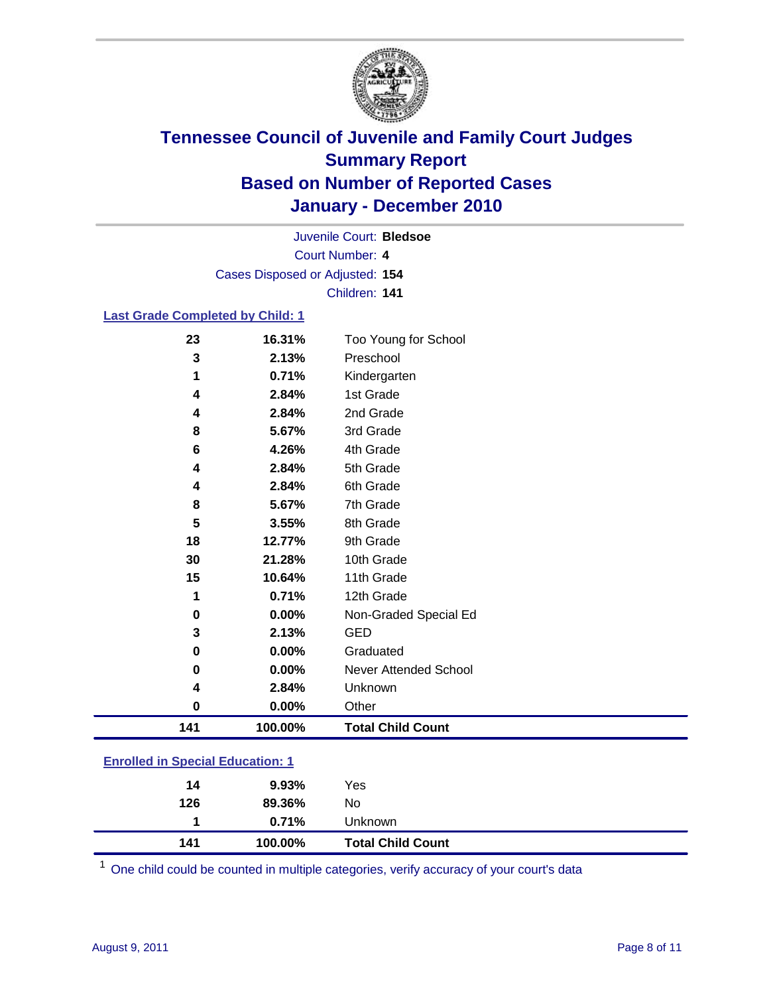

Court Number: **4** Juvenile Court: **Bledsoe** Cases Disposed or Adjusted: **154** Children: **141**

#### **Last Grade Completed by Child: 1**

| 141         | 100.00% | <b>Total Child Count</b>     |
|-------------|---------|------------------------------|
| $\mathbf 0$ | 0.00%   | Other                        |
| 4           | 2.84%   | Unknown                      |
| $\bf{0}$    | 0.00%   | <b>Never Attended School</b> |
| $\mathbf 0$ | 0.00%   | Graduated                    |
| 3           | 2.13%   | <b>GED</b>                   |
| $\bf{0}$    | 0.00%   | Non-Graded Special Ed        |
| 1           | 0.71%   | 12th Grade                   |
| 15          | 10.64%  | 11th Grade                   |
| 30          | 21.28%  | 10th Grade                   |
| 18          | 12.77%  | 9th Grade                    |
| 5           | 3.55%   | 8th Grade                    |
| 8           | 5.67%   | 7th Grade                    |
| 4           | 2.84%   | 6th Grade                    |
| 4           | 2.84%   | 5th Grade                    |
| 6           | 4.26%   | 4th Grade                    |
| 8           | 5.67%   | 3rd Grade                    |
| 4           | 2.84%   | 2nd Grade                    |
| 4           | 2.84%   | 1st Grade                    |
| 1           | 0.71%   | Kindergarten                 |
| 3           | 2.13%   | Preschool                    |
| 23          | 16.31%  | Too Young for School         |

| <b>Total Child Count</b><br>141<br>100.00% |  |
|--------------------------------------------|--|
| 0.71%<br>Unknown                           |  |
| 126<br>No<br>89.36%                        |  |
| $9.93\%$<br>Yes<br>14                      |  |

One child could be counted in multiple categories, verify accuracy of your court's data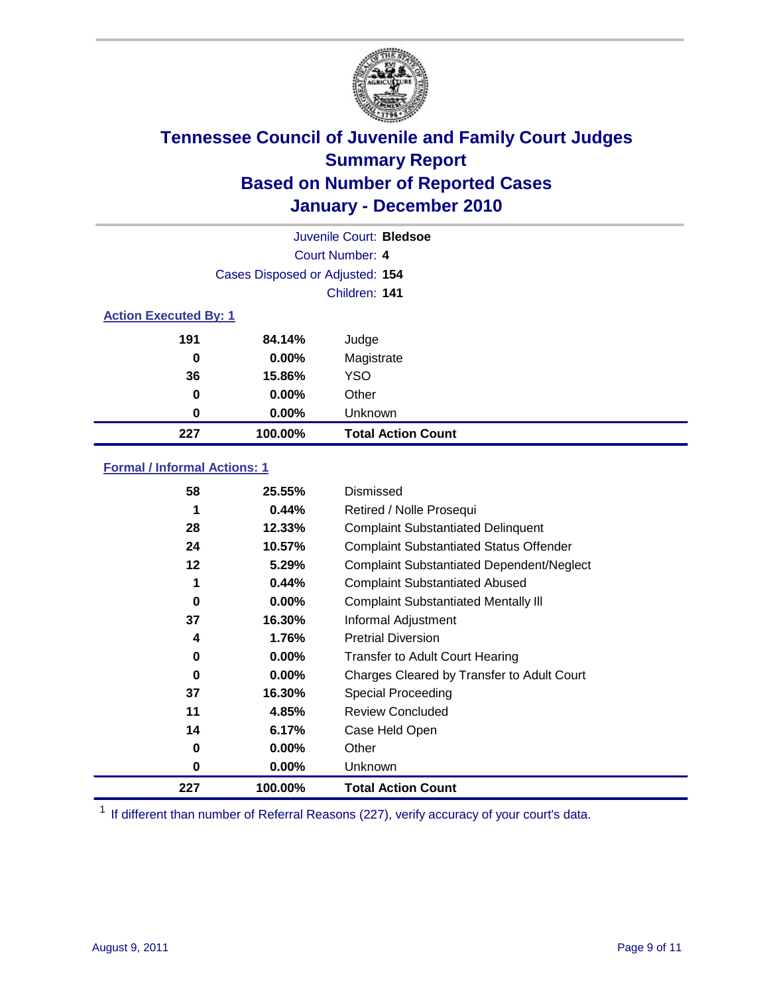

|                              |                                 | Juvenile Court: Bledsoe   |  |  |
|------------------------------|---------------------------------|---------------------------|--|--|
|                              | Court Number: 4                 |                           |  |  |
|                              | Cases Disposed or Adjusted: 154 |                           |  |  |
|                              |                                 | Children: 141             |  |  |
| <b>Action Executed By: 1</b> |                                 |                           |  |  |
| 191                          | 84.14%                          | Judge                     |  |  |
| 0                            | $0.00\%$                        | Magistrate                |  |  |
| 36                           | 15.86%                          | <b>YSO</b>                |  |  |
| 0                            | 0.00%                           | Other                     |  |  |
| 0                            | 0.00%                           | Unknown                   |  |  |
| 227                          | 100.00%                         | <b>Total Action Count</b> |  |  |

### **Formal / Informal Actions: 1**

| 227 | 100.00%  | <b>Total Action Count</b>                        |
|-----|----------|--------------------------------------------------|
| 0   | $0.00\%$ | <b>Unknown</b>                                   |
| 0   | $0.00\%$ | Other                                            |
| 14  | 6.17%    | Case Held Open                                   |
| 11  | 4.85%    | <b>Review Concluded</b>                          |
| 37  | 16.30%   | Special Proceeding                               |
| 0   | $0.00\%$ | Charges Cleared by Transfer to Adult Court       |
| 0   | $0.00\%$ | <b>Transfer to Adult Court Hearing</b>           |
| 4   | 1.76%    | <b>Pretrial Diversion</b>                        |
| 37  | 16.30%   | Informal Adjustment                              |
| 0   | $0.00\%$ | <b>Complaint Substantiated Mentally III</b>      |
| 1   | 0.44%    | <b>Complaint Substantiated Abused</b>            |
| 12  | 5.29%    | <b>Complaint Substantiated Dependent/Neglect</b> |
| 24  | 10.57%   | <b>Complaint Substantiated Status Offender</b>   |
| 28  | 12.33%   | <b>Complaint Substantiated Delinquent</b>        |
| 1   | 0.44%    | Retired / Nolle Prosequi                         |
| 58  | 25.55%   | Dismissed                                        |
|     |          |                                                  |

<sup>1</sup> If different than number of Referral Reasons (227), verify accuracy of your court's data.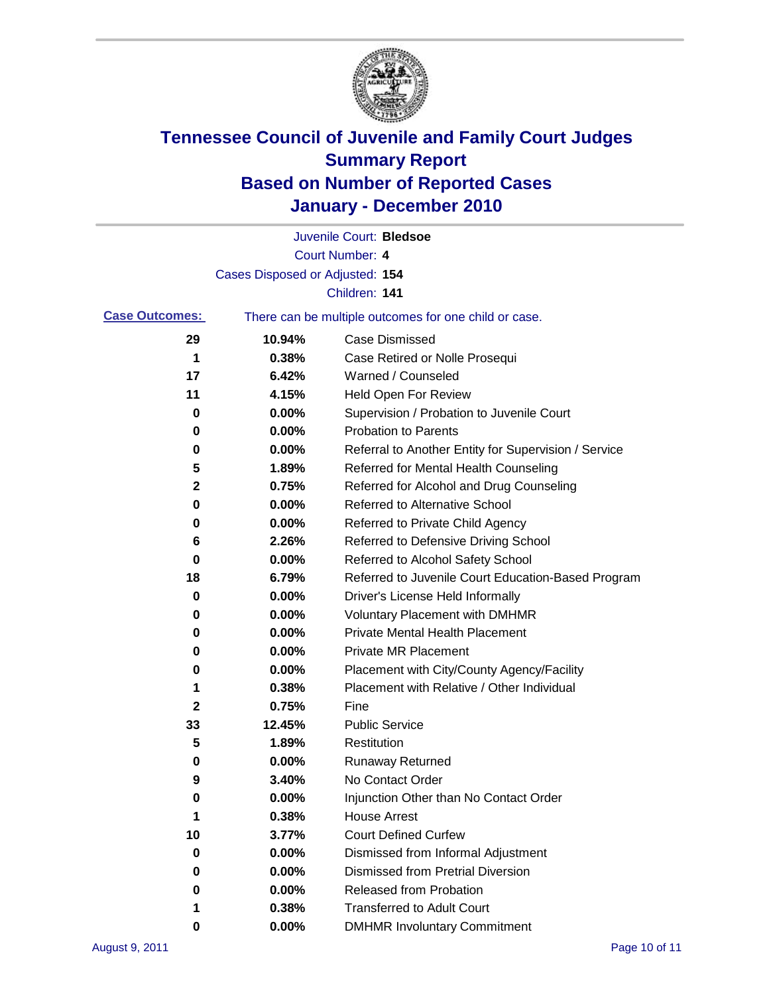

|                       |                                 | Juvenile Court: Bledsoe                               |
|-----------------------|---------------------------------|-------------------------------------------------------|
|                       |                                 | Court Number: 4                                       |
|                       | Cases Disposed or Adjusted: 154 |                                                       |
|                       |                                 | Children: 141                                         |
| <b>Case Outcomes:</b> |                                 | There can be multiple outcomes for one child or case. |
| 29                    | 10.94%                          | <b>Case Dismissed</b>                                 |
| 1                     | 0.38%                           | Case Retired or Nolle Prosequi                        |
| 17                    | 6.42%                           | Warned / Counseled                                    |
| 11                    | 4.15%                           | Held Open For Review                                  |
| 0                     | 0.00%                           | Supervision / Probation to Juvenile Court             |
| 0                     | 0.00%                           | <b>Probation to Parents</b>                           |
| 0                     | 0.00%                           | Referral to Another Entity for Supervision / Service  |
| 5                     | 1.89%                           | Referred for Mental Health Counseling                 |
| 2                     | 0.75%                           | Referred for Alcohol and Drug Counseling              |
| 0                     | 0.00%                           | <b>Referred to Alternative School</b>                 |
| 0                     | 0.00%                           | Referred to Private Child Agency                      |
| 6                     | 2.26%                           | Referred to Defensive Driving School                  |
| 0                     | 0.00%                           | Referred to Alcohol Safety School                     |
| 18                    | 6.79%                           | Referred to Juvenile Court Education-Based Program    |
| 0                     | 0.00%                           | Driver's License Held Informally                      |
| 0                     | 0.00%                           | <b>Voluntary Placement with DMHMR</b>                 |
| 0                     | 0.00%                           | <b>Private Mental Health Placement</b>                |
| 0                     | 0.00%                           | <b>Private MR Placement</b>                           |
| 0                     | 0.00%                           | Placement with City/County Agency/Facility            |
| 1                     | 0.38%                           | Placement with Relative / Other Individual            |
| $\mathbf{2}$          | 0.75%                           | Fine                                                  |
| 33                    | 12.45%                          | <b>Public Service</b>                                 |
| 5                     | 1.89%                           | Restitution                                           |
| 0                     | 0.00%                           | <b>Runaway Returned</b>                               |
| 9                     | 3.40%                           | No Contact Order                                      |
| 0                     | 0.00%                           | Injunction Other than No Contact Order                |
| 1                     | 0.38%                           | <b>House Arrest</b>                                   |
| 10                    | 3.77%                           | <b>Court Defined Curfew</b>                           |
| 0                     | 0.00%                           | Dismissed from Informal Adjustment                    |
| 0                     | 0.00%                           | <b>Dismissed from Pretrial Diversion</b>              |
| 0                     | 0.00%                           | Released from Probation                               |
| 1                     | 0.38%                           | <b>Transferred to Adult Court</b>                     |
| 0                     | $0.00\%$                        | <b>DMHMR Involuntary Commitment</b>                   |